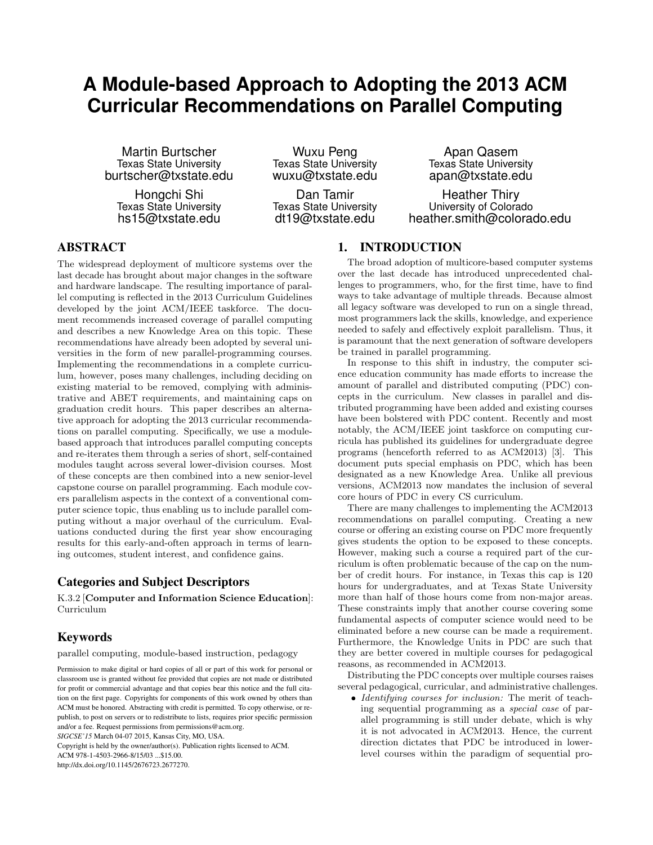# **A Module-based Approach to Adopting the 2013 ACM Curricular Recommendations on Parallel Computing**

Martin Burtscher Texas State University burtscher@txstate.edu

Hongchi Shi Texas State University hs15@txstate.edu

Wuxu Peng Texas State University wuxu@txstate.edu

Dan Tamir Texas State University dt19@txstate.edu

Apan Qasem Texas State University apan@txstate.edu

Heather Thiry University of Colorado heather.smith@colorado.edu

# ABSTRACT

The widespread deployment of multicore systems over the last decade has brought about major changes in the software and hardware landscape. The resulting importance of parallel computing is reflected in the 2013 Curriculum Guidelines developed by the joint ACM/IEEE taskforce. The document recommends increased coverage of parallel computing and describes a new Knowledge Area on this topic. These recommendations have already been adopted by several universities in the form of new parallel-programming courses. Implementing the recommendations in a complete curriculum, however, poses many challenges, including deciding on existing material to be removed, complying with administrative and ABET requirements, and maintaining caps on graduation credit hours. This paper describes an alternative approach for adopting the 2013 curricular recommendations on parallel computing. Specifically, we use a modulebased approach that introduces parallel computing concepts and re-iterates them through a series of short, self-contained modules taught across several lower-division courses. Most of these concepts are then combined into a new senior-level capstone course on parallel programming. Each module covers parallelism aspects in the context of a conventional computer science topic, thus enabling us to include parallel computing without a major overhaul of the curriculum. Evaluations conducted during the first year show encouraging results for this early-and-often approach in terms of learning outcomes, student interest, and confidence gains.

## Categories and Subject Descriptors

K.3.2 [Computer and Information Science Education]: Curriculum

# Keywords

parallel computing, module-based instruction, pedagogy

Permission to make digital or hard copies of all or part of this work for personal or classroom use is granted without fee provided that copies are not made or distributed for profit or commercial advantage and that copies bear this notice and the full citation on the first page. Copyrights for components of this work owned by others than ACM must be honored. Abstracting with credit is permitted. To copy otherwise, or republish, to post on servers or to redistribute to lists, requires prior specific permission and/or a fee. Request permissions from permissions@acm.org.

*SIGCSE'15* March 04-07 2015, Kansas City, MO, USA.

Copyright is held by the owner/author(s). Publication rights licensed to ACM.

ACM 978-1-4503-2966-8/15/03 ...\$15.00.

http://dx.doi.org/10.1145/2676723.2677270.

## 1. INTRODUCTION

The broad adoption of multicore-based computer systems over the last decade has introduced unprecedented challenges to programmers, who, for the first time, have to find ways to take advantage of multiple threads. Because almost all legacy software was developed to run on a single thread, most programmers lack the skills, knowledge, and experience needed to safely and effectively exploit parallelism. Thus, it is paramount that the next generation of software developers be trained in parallel programming.

In response to this shift in industry, the computer science education community has made efforts to increase the amount of parallel and distributed computing (PDC) concepts in the curriculum. New classes in parallel and distributed programming have been added and existing courses have been bolstered with PDC content. Recently and most notably, the ACM/IEEE joint taskforce on computing curricula has published its guidelines for undergraduate degree programs (henceforth referred to as ACM2013) [3]. This document puts special emphasis on PDC, which has been designated as a new Knowledge Area. Unlike all previous versions, ACM2013 now mandates the inclusion of several core hours of PDC in every CS curriculum.

There are many challenges to implementing the ACM2013 recommendations on parallel computing. Creating a new course or offering an existing course on PDC more frequently gives students the option to be exposed to these concepts. However, making such a course a required part of the curriculum is often problematic because of the cap on the number of credit hours. For instance, in Texas this cap is 120 hours for undergraduates, and at Texas State University more than half of those hours come from non-major areas. These constraints imply that another course covering some fundamental aspects of computer science would need to be eliminated before a new course can be made a requirement. Furthermore, the Knowledge Units in PDC are such that they are better covered in multiple courses for pedagogical reasons, as recommended in ACM2013.

Distributing the PDC concepts over multiple courses raises several pedagogical, curricular, and administrative challenges.

• Identifying courses for inclusion: The merit of teaching sequential programming as a special case of parallel programming is still under debate, which is why it is not advocated in ACM2013. Hence, the current direction dictates that PDC be introduced in lowerlevel courses within the paradigm of sequential pro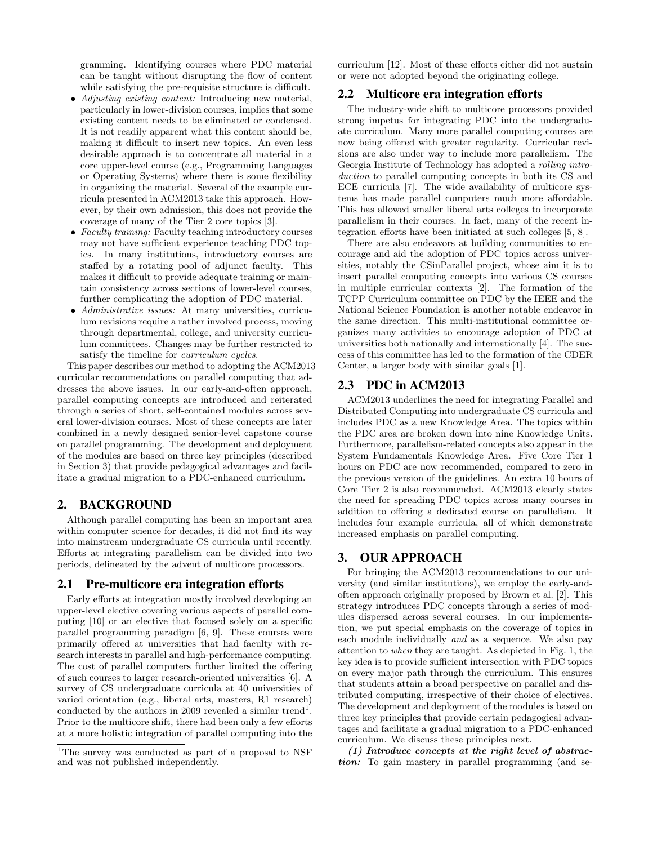gramming. Identifying courses where PDC material can be taught without disrupting the flow of content while satisfying the pre-requisite structure is difficult.

- Adjusting existing content: Introducing new material, particularly in lower-division courses, implies that some existing content needs to be eliminated or condensed. It is not readily apparent what this content should be, making it difficult to insert new topics. An even less desirable approach is to concentrate all material in a core upper-level course (e.g., Programming Languages or Operating Systems) where there is some flexibility in organizing the material. Several of the example curricula presented in ACM2013 take this approach. However, by their own admission, this does not provide the coverage of many of the Tier 2 core topics [3].
- Faculty training: Faculty teaching introductory courses may not have sufficient experience teaching PDC topics. In many institutions, introductory courses are staffed by a rotating pool of adjunct faculty. This makes it difficult to provide adequate training or maintain consistency across sections of lower-level courses, further complicating the adoption of PDC material.
- Administrative issues: At many universities, curriculum revisions require a rather involved process, moving through departmental, college, and university curriculum committees. Changes may be further restricted to satisfy the timeline for *curriculum cycles*.

This paper describes our method to adopting the ACM2013 curricular recommendations on parallel computing that addresses the above issues. In our early-and-often approach, parallel computing concepts are introduced and reiterated through a series of short, self-contained modules across several lower-division courses. Most of these concepts are later combined in a newly designed senior-level capstone course on parallel programming. The development and deployment of the modules are based on three key principles (described in Section 3) that provide pedagogical advantages and facilitate a gradual migration to a PDC-enhanced curriculum.

## 2. BACKGROUND

Although parallel computing has been an important area within computer science for decades, it did not find its way into mainstream undergraduate CS curricula until recently. Efforts at integrating parallelism can be divided into two periods, delineated by the advent of multicore processors.

#### 2.1 Pre-multicore era integration efforts

Early efforts at integration mostly involved developing an upper-level elective covering various aspects of parallel computing [10] or an elective that focused solely on a specific parallel programming paradigm [6, 9]. These courses were primarily offered at universities that had faculty with research interests in parallel and high-performance computing. The cost of parallel computers further limited the offering of such courses to larger research-oriented universities [6]. A survey of CS undergraduate curricula at 40 universities of varied orientation (e.g., liberal arts, masters, R1 research) conducted by the authors in 2009 revealed a similar trend<sup>1</sup>. Prior to the multicore shift, there had been only a few efforts at a more holistic integration of parallel computing into the curriculum [12]. Most of these efforts either did not sustain or were not adopted beyond the originating college.

#### 2.2 Multicore era integration efforts

The industry-wide shift to multicore processors provided strong impetus for integrating PDC into the undergraduate curriculum. Many more parallel computing courses are now being offered with greater regularity. Curricular revisions are also under way to include more parallelism. The Georgia Institute of Technology has adopted a rolling introduction to parallel computing concepts in both its CS and ECE curricula [7]. The wide availability of multicore systems has made parallel computers much more affordable. This has allowed smaller liberal arts colleges to incorporate parallelism in their courses. In fact, many of the recent integration efforts have been initiated at such colleges [5, 8].

There are also endeavors at building communities to encourage and aid the adoption of PDC topics across universities, notably the CSinParallel project, whose aim it is to insert parallel computing concepts into various CS courses in multiple curricular contexts [2]. The formation of the TCPP Curriculum committee on PDC by the IEEE and the National Science Foundation is another notable endeavor in the same direction. This multi-institutional committee organizes many activities to encourage adoption of PDC at universities both nationally and internationally [4]. The success of this committee has led to the formation of the CDER Center, a larger body with similar goals [1].

#### 2.3 PDC in ACM2013

ACM2013 underlines the need for integrating Parallel and Distributed Computing into undergraduate CS curricula and includes PDC as a new Knowledge Area. The topics within the PDC area are broken down into nine Knowledge Units. Furthermore, parallelism-related concepts also appear in the System Fundamentals Knowledge Area. Five Core Tier 1 hours on PDC are now recommended, compared to zero in the previous version of the guidelines. An extra 10 hours of Core Tier 2 is also recommended. ACM2013 clearly states the need for spreading PDC topics across many courses in addition to offering a dedicated course on parallelism. It includes four example curricula, all of which demonstrate increased emphasis on parallel computing.

## 3. OUR APPROACH

For bringing the ACM2013 recommendations to our university (and similar institutions), we employ the early-andoften approach originally proposed by Brown et al. [2]. This strategy introduces PDC concepts through a series of modules dispersed across several courses. In our implementation, we put special emphasis on the coverage of topics in each module individually and as a sequence. We also pay attention to when they are taught. As depicted in Fig. 1, the key idea is to provide sufficient intersection with PDC topics on every major path through the curriculum. This ensures that students attain a broad perspective on parallel and distributed computing, irrespective of their choice of electives. The development and deployment of the modules is based on three key principles that provide certain pedagogical advantages and facilitate a gradual migration to a PDC-enhanced curriculum. We discuss these principles next.

(1) Introduce concepts at the right level of abstraction: To gain mastery in parallel programming (and se-

<sup>&</sup>lt;sup>1</sup>The survey was conducted as part of a proposal to NSF and was not published independently.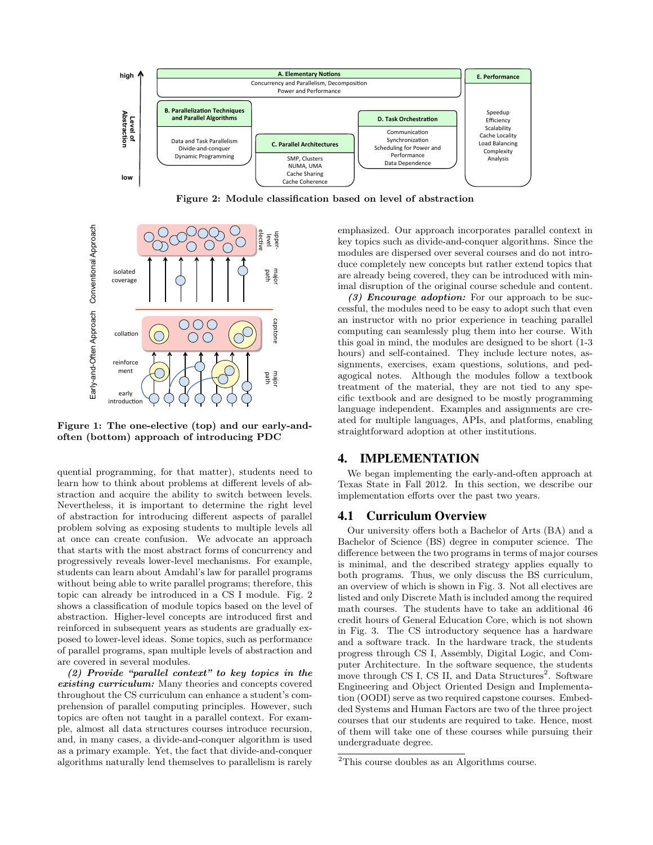

Figure 2: Module classification based on level of abstraction



Figure 1: The one-elective (top) and our early-andoften (bottom) approach of introducing PDC

quential programming, for that matter), students need to learn how to think about problems at different levels of abstraction and acquire the ability to switch between levels. Nevertheless, it is important to determine the right level of abstraction for introducing different aspects of parallel problem solving as exposing students to multiple levels all at once can create confusion. We advocate an approach that starts with the most abstract forms of concurrency and progressively reveals lower-level mechanisms. For example, students can learn about Amdahl's law for parallel programs without being able to write parallel programs; therefore, this topic can already be introduced in a CS I module. Fig. 2 shows a classification of module topics based on the level of abstraction. Higher-level concepts are introduced first and reinforced in subsequent years as students are gradually exposed to lower-level ideas. Some topics, such as performance of parallel programs, span multiple levels of abstraction and are covered in several modules.

(2) Provide "parallel context" to key topics in the existing curriculum: Many theories and concepts covered throughout the CS curriculum can enhance a student's comprehension of parallel computing principles. However, such topics are often not taught in a parallel context. For example, almost all data structures courses introduce recursion, and, in many cases, a divide-and-conquer algorithm is used as a primary example. Yet, the fact that divide-and-conquer algorithms naturally lend themselves to parallelism is rarely

emphasized. Our approach incorporates parallel context in key topics such as divide-and-conquer algorithms. Since the modules are dispersed over several courses and do not introduce completely new concepts but rather extend topics that are already being covered, they can be introduced with minimal disruption of the original course schedule and content.

 $(3)$  *Encourage adoption:* For our approach to be successful, the modules need to be easy to adopt such that even an instructor with no prior experience in teaching parallel computing can seamlessly plug them into her course. With this goal in mind, the modules are designed to be short (1-3 hours) and self-contained. They include lecture notes, assignments, exercises, exam questions, solutions, and pedagogical notes. Although the modules follow a textbook treatment of the material, they are not tied to any specific textbook and are designed to be mostly programming language independent. Examples and assignments are created for multiple languages, APIs, and platforms, enabling straightforward adoption at other institutions.

#### 4. IMPLEMENTATION

We began implementing the early-and-often approach at Texas State in Fall 2012. In this section, we describe our implementation efforts over the past two years.

#### 4.1 Curriculum Overview

Our university offers both a Bachelor of Arts (BA) and a Bachelor of Science (BS) degree in computer science. The difference between the two programs in terms of major courses is minimal, and the described strategy applies equally to both programs. Thus, we only discuss the BS curriculum, an overview of which is shown in Fig. 3. Not all electives are listed and only Discrete Math is included among the required math courses. The students have to take an additional 46 credit hours of General Education Core, which is not shown in Fig. 3. The CS introductory sequence has a hardware and a software track. In the hardware track, the students progress through CS I, Assembly, Digital Logic, and Computer Architecture. In the software sequence, the students move through CS I, CS II, and Data Structures<sup>2</sup>. Software Engineering and Object Oriented Design and Implementation (OODI) serve as two required capstone courses. Embedded Systems and Human Factors are two of the three project courses that our students are required to take. Hence, most of them will take one of these courses while pursuing their undergraduate degree.

<sup>&</sup>lt;sup>2</sup>This course doubles as an Algorithms course.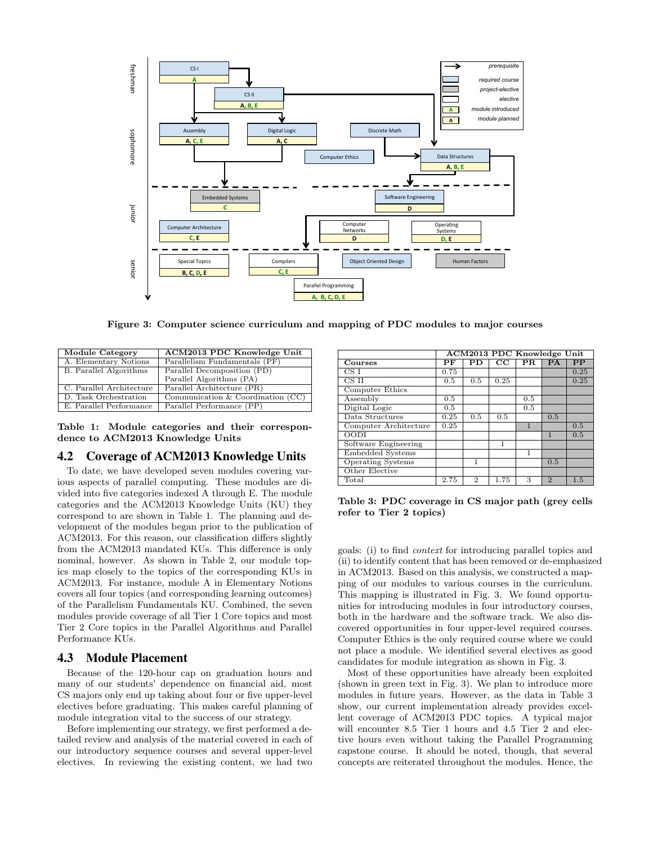

Figure 3: Computer science curriculum and mapping of PDC modules to major courses

| <b>Module Category</b>        | <b>ACM2013 PDC Knowledge Unit</b>    |
|-------------------------------|--------------------------------------|
| A. Elementary Notions         | Parallelism Fundamentals (PF)        |
| <b>B.</b> Parallel Algorithms | Parallel Decomposition (PD)          |
|                               | Parallel Algorithms (PA)             |
| C. Parallel Architecture      | Parallel Architecture (PR)           |
| D. Task Orchestration         | Communication $\&$ Coordination (CC) |
| E. Parallel Performance       | Parallel Performance (PP)            |

Table 1: Module categories and their correspondence to ACM2013 Knowledge Units

#### 4.2 Coverage of ACM2013 Knowledge Units

To date, we have developed seven modules covering various aspects of parallel computing. These modules are divided into five categories indexed A through E. The module categories and the ACM2013 Knowledge Units (KU) they correspond to are shown in Table 1. The planning and development of the modules began prior to the publication of ACM2013. For this reason, our classification differs slightly from the ACM2013 mandated KUs. This difference is only nominal, however. As shown in Table 2, our module topics map closely to the topics of the corresponding KUs in ACM2013. For instance, module A in Elementary Notions covers all four topics (and corresponding learning outcomes) of the Parallelism Fundamentals KU. Combined, the seven modules provide coverage of all Tier 1 Core topics and most Tier 2 Core topics in the Parallel Algorithms and Parallel Performance KUs.

#### 4.3 Module Placement

Because of the 120-hour cap on graduation hours and many of our students' dependence on financial aid, most CS majors only end up taking about four or five upper-level electives before graduating. This makes careful planning of module integration vital to the success of our strategy.

Before implementing our strategy, we first performed a detailed review and analysis of the material covered in each of our introductory sequence courses and several upper-level electives. In reviewing the existing content, we had two

|                          | <b>ACM2013 PDC Knowledge Unit</b> |                |             |              |                |           |  |  |  |  |  |  |
|--------------------------|-----------------------------------|----------------|-------------|--------------|----------------|-----------|--|--|--|--|--|--|
| Courses                  | PF                                | РD             | $_{\rm CC}$ | PR.          | <b>PA</b>      | <b>PP</b> |  |  |  |  |  |  |
| $\overline{\text{CS I}}$ | 0.75                              |                |             |              |                | 0.25      |  |  |  |  |  |  |
| CS II                    | 0.5                               | 0.5            | 0.25        |              |                | 0.25      |  |  |  |  |  |  |
| Computer Ethics          |                                   |                |             |              |                |           |  |  |  |  |  |  |
| Assembly                 | 0.5                               |                |             | 0.5          |                |           |  |  |  |  |  |  |
| Digital Logic            | 0.5                               |                |             | 0.5          |                |           |  |  |  |  |  |  |
| Data Structures          | 0.25                              | 0.5            | 0.5         |              | 0.5            |           |  |  |  |  |  |  |
| Computer Architecture    | 0.25                              |                |             | $\mathbf{1}$ |                | 0.5       |  |  |  |  |  |  |
| $\overline{OODI}$        |                                   |                |             |              | $\mathbf{1}$   | 0.5       |  |  |  |  |  |  |
| Software Engineering     |                                   |                | 1           |              |                |           |  |  |  |  |  |  |
| <b>Embedded Systems</b>  |                                   |                |             |              |                |           |  |  |  |  |  |  |
| <b>Operating Systems</b> |                                   | 1              |             |              | 0.5            |           |  |  |  |  |  |  |
| Other Elective           |                                   |                |             |              |                |           |  |  |  |  |  |  |
| Total                    | 2.75                              | $\overline{2}$ | 1.75        | 3            | $\overline{2}$ | 1.5       |  |  |  |  |  |  |

Table 3: PDC coverage in CS major path (grey cells refer to Tier 2 topics)

goals: (i) to find context for introducing parallel topics and (ii) to identify content that has been removed or de-emphasized in ACM2013. Based on this analysis, we constructed a mapping of our modules to various courses in the curriculum. This mapping is illustrated in Fig. 3. We found opportunities for introducing modules in four introductory courses, both in the hardware and the software track. We also discovered opportunities in four upper-level required courses. Computer Ethics is the only required course where we could not place a module. We identified several electives as good candidates for module integration as shown in Fig. 3.

Most of these opportunities have already been exploited (shown in green text in Fig. 3). We plan to introduce more modules in future years. However, as the data in Table 3 show, our current implementation already provides excellent coverage of ACM2013 PDC topics. A typical major will encounter 8.5 Tier 1 hours and 4.5 Tier 2 and elective hours even without taking the Parallel Programming capstone course. It should be noted, though, that several concepts are reiterated throughout the modules. Hence, the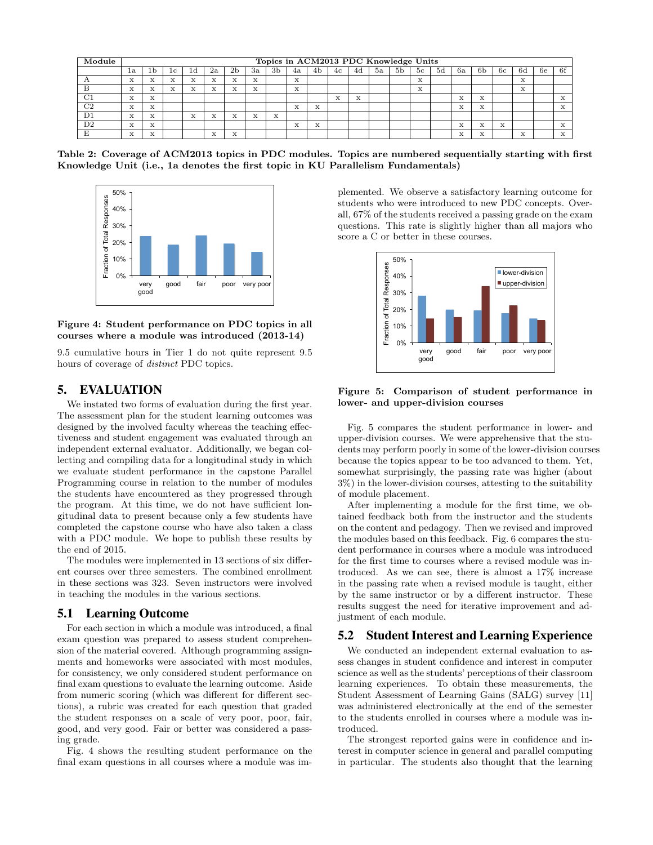| Module         | Topics in ACM2013 PDC Knowledge Units |                                       |                     |                                       |             |                |                               |                               |                                       |                   |                               |              |    |    |                     |     |              |         |             |                               |    |     |
|----------------|---------------------------------------|---------------------------------------|---------------------|---------------------------------------|-------------|----------------|-------------------------------|-------------------------------|---------------------------------------|-------------------|-------------------------------|--------------|----|----|---------------------|-----|--------------|---------|-------------|-------------------------------|----|-----|
|                | Ιa                                    | Тp                                    | 1c                  | 1d                                    | 2a          | 2 <sub>b</sub> | 3a                            | 3b                            | 4a                                    | 4b                | 4c                            | 4d           | 5a | 5b | 5c                  | -5d | 6а           | 6Ь      | 6с          | 6d                            | 6е | -6f |
|                | $\overline{\phantom{a}}$<br>$\lambda$ | $\lambda$                             | $\sim$<br>$\Lambda$ | $\overline{\phantom{a}}$<br>⋏         | $\sim$<br>∼ | --             | $\overline{\phantom{a}}$<br>∼ |                               | $\overline{\phantom{a}}$<br>$\lambda$ |                   |                               |              |    |    | ⋏                   |     |              |         |             | ∼                             |    |     |
|                | $\sim$<br>л.                          | $\lambda$                             | $\mathbf{r}$<br>∼   | $\overline{\phantom{a}}$<br>∼         | --<br>∼     |                | $\overline{\phantom{a}}$<br>∼ |                               | <br>⋏                                 |                   |                               |              |    |    | $\sim$<br>$\Lambda$ |     |              |         |             | $\overline{\phantom{a}}$<br>∼ |    |     |
|                | $\sim$<br>л.                          | л.                                    |                     |                                       |             |                |                               |                               |                                       |                   | $\overline{\phantom{a}}$<br>∼ | $\sim$<br>л. |    |    |                     |     | <br>л.       | --<br>◠ |             |                               |    |     |
| C2             | $\sim$<br>л.                          | $\overline{\phantom{a}}$<br>л.        |                     |                                       |             |                |                               |                               | --                                    | $\mathbf{r}$<br>⋏ |                               |              |    |    |                     |     | <br>л.       | --<br>◠ |             |                               |    |     |
| D1             | $\sim$<br>$\lambda$                   | $\overline{\phantom{a}}$<br>$\lambda$ |                     | $\overline{\phantom{a}}$<br>$\lambda$ | - -<br>⋏    | --             |                               | $\overline{\phantom{a}}$<br>∼ |                                       |                   |                               |              |    |    |                     |     |              |         |             |                               |    |     |
| D <sub>2</sub> | $\sim$<br>л.                          | $\mathbf{r}$<br>$\lambda$             |                     |                                       |             |                |                               |                               | $\overline{\phantom{a}}$              | х                 |                               |              |    |    |                     |     | $\sim$<br>л. | --      | $\sim$<br>⋏ |                               |    |     |
|                | $\sim$<br>∼                           | $\overline{\phantom{a}}$              |                     |                                       | - -<br>⋏    | - -            |                               |                               |                                       |                   |                               |              |    |    |                     |     | --<br>∼      | ◠       |             | $\overline{\phantom{a}}$      |    |     |

Table 2: Coverage of ACM2013 topics in PDC modules. Topics are numbered sequentially starting with first Knowledge Unit (i.e., 1a denotes the first topic in KU Parallelism Fundamentals)



#### Figure 4: Student performance on PDC topics in all courses where a module was introduced (2013-14)

9.5 cumulative hours in Tier 1 do not quite represent 9.5 hours of coverage of distinct PDC topics.

## 5. EVALUATION

We instated two forms of evaluation during the first year. The assessment plan for the student learning outcomes was designed by the involved faculty whereas the teaching effectiveness and student engagement was evaluated through an independent external evaluator. Additionally, we began collecting and compiling data for a longitudinal study in which we evaluate student performance in the capstone Parallel Programming course in relation to the number of modules the students have encountered as they progressed through the program. At this time, we do not have sufficient longitudinal data to present because only a few students have completed the capstone course who have also taken a class with a PDC module. We hope to publish these results by the end of 2015.

The modules were implemented in 13 sections of six different courses over three semesters. The combined enrollment in these sections was 323. Seven instructors were involved in teaching the modules in the various sections.

## 5.1 Learning Outcome

For each section in which a module was introduced, a final exam question was prepared to assess student comprehension of the material covered. Although programming assignments and homeworks were associated with most modules, for consistency, we only considered student performance on final exam questions to evaluate the learning outcome. Aside from numeric scoring (which was different for different sections), a rubric was created for each question that graded the student responses on a scale of very poor, poor, fair, good, and very good. Fair or better was considered a passing grade.

Fig. 4 shows the resulting student performance on the final exam questions in all courses where a module was implemented. We observe a satisfactory learning outcome for students who were introduced to new PDC concepts. Overall, 67% of the students received a passing grade on the exam questions. This rate is slightly higher than all majors who score a C or better in these courses.



Figure 5: Comparison of student performance in lower- and upper-division courses

Fig. 5 compares the student performance in lower- and upper-division courses. We were apprehensive that the students may perform poorly in some of the lower-division courses because the topics appear to be too advanced to them. Yet, somewhat surprisingly, the passing rate was higher (about 3%) in the lower-division courses, attesting to the suitability of module placement.

After implementing a module for the first time, we obtained feedback both from the instructor and the students on the content and pedagogy. Then we revised and improved the modules based on this feedback. Fig. 6 compares the student performance in courses where a module was introduced for the first time to courses where a revised module was introduced. As we can see, there is almost a 17% increase in the passing rate when a revised module is taught, either by the same instructor or by a different instructor. These results suggest the need for iterative improvement and adjustment of each module.

#### 5.2 Student Interest and Learning Experience

We conducted an independent external evaluation to assess changes in student confidence and interest in computer science as well as the students' perceptions of their classroom learning experiences. To obtain these measurements, the Student Assessment of Learning Gains (SALG) survey [11] was administered electronically at the end of the semester to the students enrolled in courses where a module was introduced.

The strongest reported gains were in confidence and interest in computer science in general and parallel computing in particular. The students also thought that the learning